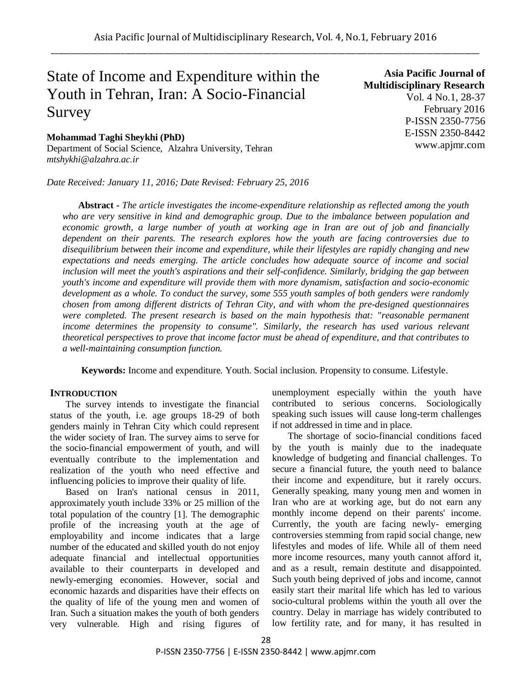# State of Income and Expenditure within the Youth in Tehran, Iran: A Socio-Financial Survey

**Mohammad Taghi Sheykhi (PhD)** Department of Social Science, Alzahra University, Tehran *mtshykhi@alzahra.ac.ir*

*Date Received: January 11, 2016; Date Revised: February 25, 2016*

**Asia Pacific Journal of Multidisciplinary Research** Vol. 4 No.1, 28-37 February 2016 P-ISSN 2350-7756 E-ISSN 2350-8442 www.apjmr.com

**Abstract -** *The article investigates the income-expenditure relationship as reflected among the youth who are very sensitive in kind and demographic group. Due to the imbalance between population and economic growth, a large number of youth at working age in Iran are out of job and financially dependent on their parents. The research explores how the youth are facing controversies due to disequilibrium between their income and expenditure, while their lifestyles are rapidly changing and new expectations and needs emerging. The article concludes how adequate source of income and social inclusion will meet the youth's aspirations and their self-confidence. Similarly, bridging the gap between youth's income and expenditure will provide them with more dynamism, satisfaction and socio-economic development as a whole. To conduct the survey, some 555 youth samples of both genders were randomly chosen from among different districts of Tehran City, and with whom the pre-designed questionnaires were completed. The present research is based on the main hypothesis that: "reasonable permanent income determines the propensity to consume". Similarly, the research has used various relevant theoretical perspectives to prove that income factor must be ahead of expenditure, and that contributes to a well-maintaining consumption function.*

**Keywords:** Income and expenditure. Youth. Social inclusion. Propensity to consume. Lifestyle.

## **INTRODUCTION**

The survey intends to investigate the financial status of the youth, i.e. age groups 18-29 of both genders mainly in Tehran City which could represent the wider society of Iran. The survey aims to serve for the socio-financial empowerment of youth, and will eventually contribute to the implementation and realization of the youth who need effective and influencing policies to improve their quality of life.

Based on Iran's national census in 2011, approximately youth include 33% or 25 million of the total population of the country [1]. The demographic profile of the increasing youth at the age of employability and income indicates that a large number of the educated and skilled youth do not enjoy adequate financial and intellectual opportunities available to their counterparts in developed and newly-emerging economies. However, social and economic hazards and disparities have their effects on the quality of life of the young men and women of Iran. Such a situation makes the youth of both genders very vulnerable. High and rising figures of unemployment especially within the youth have contributed to serious concerns. Sociologically speaking such issues will cause long-term challenges if not addressed in time and in place.

The shortage of socio-financial conditions faced by the youth is mainly due to the inadequate knowledge of budgeting and financial challenges. To secure a financial future, the youth need to balance their income and expenditure, but it rarely occurs. Generally speaking, many young men and women in Iran who are at working age, but do not earn any monthly income depend on their parents' income. Currently, the youth are facing newly- emerging controversies stemming from rapid social change, new lifestyles and modes of life. While all of them need more income resources, many youth cannot afford it, and as a result, remain destitute and disappointed. Such youth being deprived of jobs and income, cannot easily start their marital life which has led to various socio-cultural problems within the youth all over the country. Delay in marriage has widely contributed to low fertility rate, and for many, it has resulted in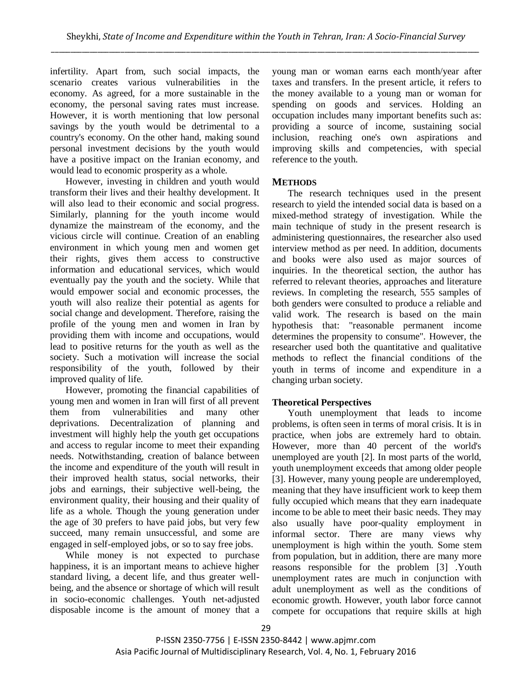infertility. Apart from, such social impacts, the scenario creates various vulnerabilities in the economy. As agreed, for a more sustainable in the economy, the personal saving rates must increase. However, it is worth mentioning that low personal savings by the youth would be detrimental to a country's economy. On the other hand, making sound personal investment decisions by the youth would have a positive impact on the Iranian economy, and would lead to economic prosperity as a whole.

However, investing in children and youth would transform their lives and their healthy development. It will also lead to their economic and social progress. Similarly, planning for the youth income would dynamize the mainstream of the economy, and the vicious circle will continue. Creation of an enabling environment in which young men and women get their rights, gives them access to constructive information and educational services, which would eventually pay the youth and the society. While that would empower social and economic processes, the youth will also realize their potential as agents for social change and development. Therefore, raising the profile of the young men and women in Iran by providing them with income and occupations, would lead to positive returns for the youth as well as the society. Such a motivation will increase the social responsibility of the youth, followed by their improved quality of life.

However, promoting the financial capabilities of young men and women in Iran will first of all prevent them from vulnerabilities and many other deprivations. Decentralization of planning and investment will highly help the youth get occupations and access to regular income to meet their expanding needs. Notwithstanding, creation of balance between the income and expenditure of the youth will result in their improved health status, social networks, their jobs and earnings, their subjective well-being, the environment quality, their housing and their quality of life as a whole. Though the young generation under the age of 30 prefers to have paid jobs, but very few succeed, many remain unsuccessful, and some are engaged in self-employed jobs, or so to say free jobs.

While money is not expected to purchase happiness, it is an important means to achieve higher standard living, a decent life, and thus greater wellbeing, and the absence or shortage of which will result in socio-economic challenges. Youth net-adjusted disposable income is the amount of money that a young man or woman earns each month/year after taxes and transfers. In the present article, it refers to the money available to a young man or woman for spending on goods and services. Holding an occupation includes many important benefits such as: providing a source of income, sustaining social inclusion, reaching one's own aspirations and improving skills and competencies, with special reference to the youth.

## **METHODS**

The research techniques used in the present research to yield the intended social data is based on a mixed-method strategy of investigation. While the main technique of study in the present research is administering questionnaires, the researcher also used interview method as per need. In addition, documents and books were also used as major sources of inquiries. In the theoretical section, the author has referred to relevant theories, approaches and literature reviews. In completing the research, 555 samples of both genders were consulted to produce a reliable and valid work. The research is based on the main hypothesis that: "reasonable permanent income determines the propensity to consume". However, the researcher used both the quantitative and qualitative methods to reflect the financial conditions of the youth in terms of income and expenditure in a changing urban society.

## **Theoretical Perspectives**

Youth unemployment that leads to income problems, is often seen in terms of moral crisis. It is in practice, when jobs are extremely hard to obtain. However, more than 40 percent of the world's unemployed are youth [2]. In most parts of the world, youth unemployment exceeds that among older people [3]. However, many young people are underemployed, meaning that they have insufficient work to keep them fully occupied which means that they earn inadequate income to be able to meet their basic needs. They may also usually have poor-quality employment in informal sector. There are many views why unemployment is high within the youth. Some stem from population, but in addition, there are many more reasons responsible for the problem [3] .Youth unemployment rates are much in conjunction with adult unemployment as well as the conditions of economic growth. However, youth labor force cannot compete for occupations that require skills at high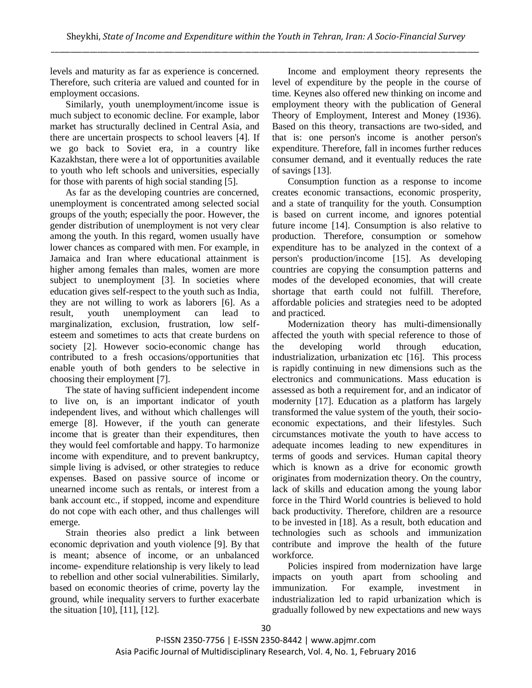levels and maturity as far as experience is concerned. Therefore, such criteria are valued and counted for in employment occasions.

Similarly, youth unemployment/income issue is much subject to economic decline. For example, labor market has structurally declined in Central Asia, and there are uncertain prospects to school leavers [4]. If we go back to Soviet era, in a country like Kazakhstan, there were a lot of opportunities available to youth who left schools and universities, especially for those with parents of high social standing [5].

As far as the developing countries are concerned, unemployment is concentrated among selected social groups of the youth; especially the poor. However, the gender distribution of unemployment is not very clear among the youth. In this regard, women usually have lower chances as compared with men. For example, in Jamaica and Iran where educational attainment is higher among females than males, women are more subject to unemployment [3]. In societies where education gives self-respect to the youth such as India, they are not willing to work as laborers [6]. As a result, youth unemployment can lead to marginalization, exclusion, frustration, low selfesteem and sometimes to acts that create burdens on society [2]. However socio-economic change has contributed to a fresh occasions/opportunities that enable youth of both genders to be selective in choosing their employment [7].

The state of having sufficient independent income to live on, is an important indicator of youth independent lives, and without which challenges will emerge [8]. However, if the youth can generate income that is greater than their expenditures, then they would feel comfortable and happy. To harmonize income with expenditure, and to prevent bankruptcy, simple living is advised, or other strategies to reduce expenses. Based on passive source of income or unearned income such as rentals, or interest from a bank account etc., if stopped, income and expenditure do not cope with each other, and thus challenges will emerge.

Strain theories also predict a link between economic deprivation and youth violence [9]. By that is meant; absence of income, or an unbalanced income- expenditure relationship is very likely to lead to rebellion and other social vulnerabilities. Similarly, based on economic theories of crime, poverty lay the ground, while inequality servers to further exacerbate the situation [10], [11], [12].

Income and employment theory represents the level of expenditure by the people in the course of time. Keynes also offered new thinking on income and employment theory with the publication of General Theory of Employment, Interest and Money (1936). Based on this theory, transactions are two-sided, and that is: one person's income is another person's expenditure. Therefore, fall in incomes further reduces consumer demand, and it eventually reduces the rate of savings [13].

Consumption function as a response to income creates economic transactions, economic prosperity, and a state of tranquility for the youth. Consumption is based on current income, and ignores potential future income [14]. Consumption is also relative to production. Therefore, consumption or somehow expenditure has to be analyzed in the context of a person's production/income [15]. As developing countries are copying the consumption patterns and modes of the developed economies, that will create shortage that earth could not fulfill. Therefore, affordable policies and strategies need to be adopted and practiced.

Modernization theory has multi-dimensionally affected the youth with special reference to those of the developing world through education, industrialization, urbanization etc [16]. This process is rapidly continuing in new dimensions such as the electronics and communications. Mass education is assessed as both a requirement for, and an indicator of modernity [17]. Education as a platform has largely transformed the value system of the youth, their socioeconomic expectations, and their lifestyles. Such circumstances motivate the youth to have access to adequate incomes leading to new expenditures in terms of goods and services. Human capital theory which is known as a drive for economic growth originates from modernization theory. On the country, lack of skills and education among the young labor force in the Third World countries is believed to hold back productivity. Therefore, children are a resource to be invested in [18]. As a result, both education and technologies such as schools and immunization contribute and improve the health of the future workforce.

Policies inspired from modernization have large impacts on youth apart from schooling and immunization. For example, investment in industrialization led to rapid urbanization which is gradually followed by new expectations and new ways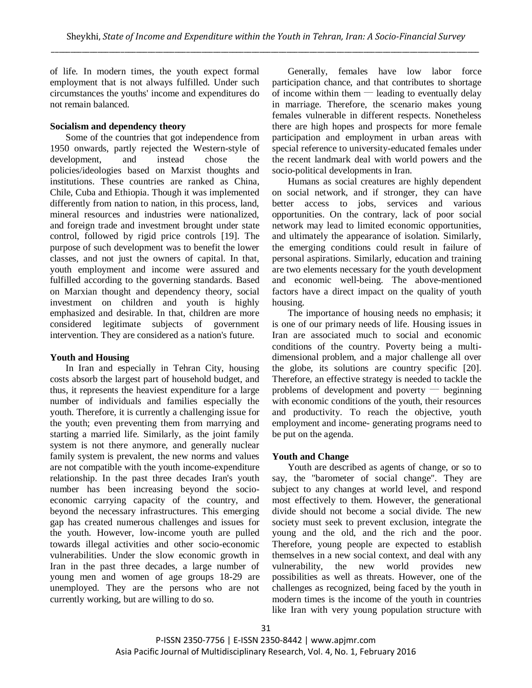of life. In modern times, the youth expect formal employment that is not always fulfilled. Under such circumstances the youths' income and expenditures do not remain balanced.

## **Socialism and dependency theory**

Some of the countries that got independence from 1950 onwards, partly rejected the Western-style of development, and instead chose the policies/ideologies based on Marxist thoughts and institutions. These countries are ranked as China, Chile, Cuba and Ethiopia. Though it was implemented differently from nation to nation, in this process, land, mineral resources and industries were nationalized, and foreign trade and investment brought under state control, followed by rigid price controls [19]. The purpose of such development was to benefit the lower classes, and not just the owners of capital. In that, youth employment and income were assured and fulfilled according to the governing standards. Based on Marxian thought and dependency theory, social investment on children and youth is highly emphasized and desirable. In that, children are more considered legitimate subjects of government intervention. They are considered as a nation's future.

## **Youth and Housing**

In Iran and especially in Tehran City, housing costs absorb the largest part of household budget, and thus, it represents the heaviest expenditure for a large number of individuals and families especially the youth. Therefore, it is currently a challenging issue for the youth; even preventing them from marrying and starting a married life. Similarly, as the joint family system is not there anymore, and generally nuclear family system is prevalent, the new norms and values are not compatible with the youth income-expenditure relationship. In the past three decades Iran's youth number has been increasing beyond the socioeconomic carrying capacity of the country, and beyond the necessary infrastructures. This emerging gap has created numerous challenges and issues for the youth. However, low-income youth are pulled towards illegal activities and other socio-economic vulnerabilities. Under the slow economic growth in Iran in the past three decades, a large number of young men and women of age groups 18-29 are unemployed. They are the persons who are not currently working, but are willing to do so.

Generally, females have low labor force participation chance, and that contributes to shortage of income within them  $-$  leading to eventually delay in marriage. Therefore, the scenario makes young females vulnerable in different respects. Nonetheless there are high hopes and prospects for more female participation and employment in urban areas with special reference to university-educated females under the recent landmark deal with world powers and the socio-political developments in Iran.

Humans as social creatures are highly dependent on social network, and if stronger, they can have better access to jobs, services and various opportunities. On the contrary, lack of poor social network may lead to limited economic opportunities, and ultimately the appearance of isolation. Similarly, the emerging conditions could result in failure of personal aspirations. Similarly, education and training are two elements necessary for the youth development and economic well-being. The above-mentioned factors have a direct impact on the quality of youth housing.

The importance of housing needs no emphasis; it is one of our primary needs of life. Housing issues in Iran are associated much to social and economic conditions of the country. Poverty being a multidimensional problem, and a major challenge all over the globe, its solutions are country specific [20]. Therefore, an effective strategy is needed to tackle the problems of development and poverty  $-$  beginning with economic conditions of the youth, their resources and productivity. To reach the objective, youth employment and income- generating programs need to be put on the agenda.

## **Youth and Change**

Youth are described as agents of change, or so to say, the "barometer of social change". They are subject to any changes at world level, and respond most effectively to them. However, the generational divide should not become a social divide. The new society must seek to prevent exclusion, integrate the young and the old, and the rich and the poor. Therefore, young people are expected to establish themselves in a new social context, and deal with any vulnerability, the new world provides new possibilities as well as threats. However, one of the challenges as recognized, being faced by the youth in modern times is the income of the youth in countries like Iran with very young population structure with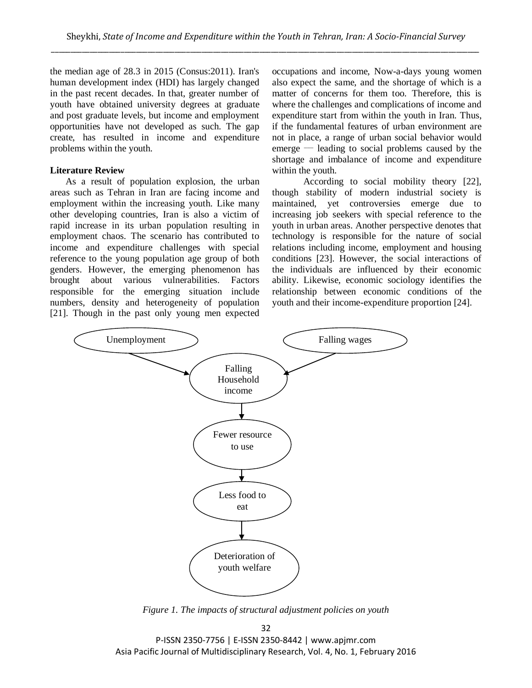the median age of 28.3 in 2015 (Consus:2011). Iran's human development index (HDI) has largely changed in the past recent decades. In that, greater number of youth have obtained university degrees at graduate and post graduate levels, but income and employment opportunities have not developed as such. The gap create, has resulted in income and expenditure problems within the youth.

#### **Literature Review**

As a result of population explosion, the urban areas such as Tehran in Iran are facing income and employment within the increasing youth. Like many other developing countries, Iran is also a victim of rapid increase in its urban population resulting in employment chaos. The scenario has contributed to income and expenditure challenges with special reference to the young population age group of both genders. However, the emerging phenomenon has brought about various vulnerabilities. Factors responsible for the emerging situation include numbers, density and heterogeneity of population [21]. Though in the past only young men expected occupations and income, Now-a-days young women also expect the same, and the shortage of which is a matter of concerns for them too. Therefore, this is where the challenges and complications of income and expenditure start from within the youth in Iran. Thus, if the fundamental features of urban environment are not in place, a range of urban social behavior would  $emerge$  — leading to social problems caused by the shortage and imbalance of income and expenditure within the youth.

According to social mobility theory [22], though stability of modern industrial society is maintained, yet controversies emerge due to increasing job seekers with special reference to the youth in urban areas. Another perspective denotes that technology is responsible for the nature of social relations including income, employment and housing conditions [23]. However, the social interactions of the individuals are influenced by their economic ability. Likewise, economic sociology identifies the relationship between economic conditions of the youth and their income-expenditure proportion [24].



*Figure 1. The impacts of structural adjustment policies on youth*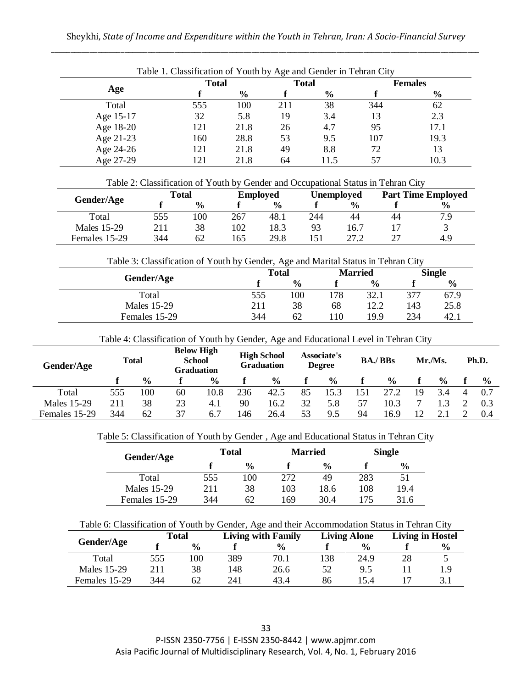|           | Table 1. Classification of Youth by Age and Gender in Tehran City |               |              |               |                |               |  |
|-----------|-------------------------------------------------------------------|---------------|--------------|---------------|----------------|---------------|--|
|           | <b>Total</b>                                                      |               | <b>Total</b> |               | <b>Females</b> |               |  |
| Age       |                                                                   | $\frac{6}{9}$ |              | $\frac{6}{9}$ |                | $\frac{0}{0}$ |  |
| Total     | 555                                                               | 100           | 211          | 38            | 344            | 62            |  |
| Age 15-17 | 32                                                                | 5.8           | 19           | 3.4           | 13             | 2.3           |  |
| Age 18-20 | 121                                                               | 21.8          | 26           | 4.7           | 95             | 17.1          |  |
| Age 21-23 | 160                                                               | 28.8          | 53           | 9.5           | 107            | 19.3          |  |
| Age 24-26 | 121                                                               | 21.8          | 49           | 8.8           | 72             | 13            |  |
| Age 27-29 | 121                                                               | 21.8          | 64           | 115           | 57             | 10.3          |  |

| Table 2: Classification of Youth by Gender and Occupational Status in Tehran City |     |               |     |                 |                   |               |    |                           |  |  |
|-----------------------------------------------------------------------------------|-----|---------------|-----|-----------------|-------------------|---------------|----|---------------------------|--|--|
|                                                                                   |     | <b>Total</b>  |     | <b>Employed</b> | <b>Unemployed</b> |               |    | <b>Part Time Employed</b> |  |  |
| Gender/Age                                                                        |     | $\frac{6}{6}$ |     | $\frac{6}{9}$   |                   | $\frac{6}{9}$ |    | $\frac{0}{0}$             |  |  |
| Total                                                                             | 555 | 100           | 267 | 48.1            | 244               | 44            | 44 | 7.9                       |  |  |
| Males 15-29                                                                       | 211 | 38            | 102 | 18.3            | 93                | 16.7          |    |                           |  |  |
| Females 15-29                                                                     | 344 | 62            | 165 | 29.8            | 151               | 27.2          |    | 4.9                       |  |  |

|  | Table 3: Classification of Youth by Gender, Age and Marital Status in Tehran City |  |
|--|-----------------------------------------------------------------------------------|--|
|  |                                                                                   |  |

| Gender/Age    |     | <b>Total</b>  |     | Married       | <b>Single</b> |               |  |
|---------------|-----|---------------|-----|---------------|---------------|---------------|--|
|               |     | $\frac{6}{9}$ |     | $\frac{6}{9}$ |               | $\frac{6}{9}$ |  |
| Total         | 555 | 100           | 178 | 32.1          | 377           | 67.9          |  |
| Males 15-29   | 211 | 38            | 68  | 12.2          | 143           | 25.8          |  |
| Females 15-29 | 344 | 62            | .10 | 19.9          | 234           | 42.1          |  |

Table 4: Classification of Youth by Gender, Age and Educational Level in Tehran City

| Gender/Age    |     | Total         | <b>Below High</b><br><b>School</b><br>Graduation |               |     | <b>High School</b><br><b>Graduation</b> |    | <b>Associate's</b><br><b>Degree</b> |    | <b>BA./BBs</b> |    | Mr./Ms.       | Ph.D.         |
|---------------|-----|---------------|--------------------------------------------------|---------------|-----|-----------------------------------------|----|-------------------------------------|----|----------------|----|---------------|---------------|
|               |     | $\frac{0}{0}$ |                                                  | $\frac{0}{0}$ |     | $\frac{0}{0}$                           |    | $\frac{6}{9}$                       |    | $\frac{0}{0}$  |    | $\frac{6}{6}$ | $\frac{0}{0}$ |
| Total         | 555 | 100           | 60                                               | 10.8          | 236 | 42.5                                    | 85 | 15.3                                |    | 27.2           | 19 | 3.4           | 0.7           |
| Males 15-29   | 211 | 38            | 23                                               | 4.1           | 90  | 16.2                                    | 32 | 5.8                                 |    | 10.3           |    |               | 0.3           |
| Females 15-29 | 344 | 62            | 37                                               | 6.7           | 146 | 26.4                                    | 53 | 9.5                                 | 94 | 16.9           |    |               | 0.4           |

Table 5: Classification of Youth by Gender , Age and Educational Status in Tehran City

| Gender/Age    |     | Total         |     | <b>Married</b> | <b>Single</b> |               |  |
|---------------|-----|---------------|-----|----------------|---------------|---------------|--|
|               |     | $\frac{6}{6}$ |     | $\frac{6}{10}$ |               | $\frac{6}{9}$ |  |
| Total         | 555 | 100           | 272 | 49             | 283           | 51            |  |
| Males 15-29   | 211 | 38            | 103 | 18.6           | 108           | 19.4          |  |
| Females 15-29 | 344 | 62            | 169 | 30.4           | 175           | 31.6          |  |

Table 6: Classification of Youth by Gender, Age and their Accommodation Status in Tehran City

|               |     | <b>Total</b>  |     | <b>Living with Family</b> |      | <b>Living Alone</b> | <b>Living in Hostel</b> |      |  |
|---------------|-----|---------------|-----|---------------------------|------|---------------------|-------------------------|------|--|
| Gender/Age    |     | $\frac{0}{0}$ |     | $\frac{6}{6}$             |      | $\frac{6}{6}$       |                         | $\%$ |  |
| Total         | 555 | .00           | 389 | 70.1                      | l 38 | 24.9                | 28                      |      |  |
| Males 15-29   | 211 | 38            | 148 | 26.6                      | 52   | 9.5                 |                         | 1.9  |  |
| Females 15-29 | 344 | 62            | 241 | 43.4                      | 86   | 15.4                |                         |      |  |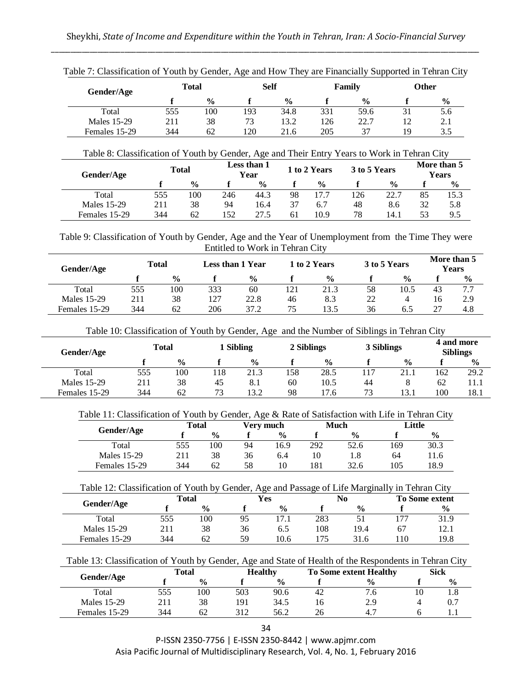| Gender/Age    |     | Total         |     | <b>Self</b>   |     | Family        |    | Other         |
|---------------|-----|---------------|-----|---------------|-----|---------------|----|---------------|
|               |     | $\frac{6}{9}$ |     | $\frac{6}{9}$ |     | $\frac{0}{0}$ |    | $\frac{6}{9}$ |
| Total         | 555 | 100           | 193 | 34.8          | 331 | 59.6          |    | 5.6           |
| Males 15-29   | 211 | 38            | 73  | 13.2          | 126 | 22.7          | 12 | 2.1           |
| Females 15-29 | 344 | 62            | 120 | 21.6          | 205 | 37            | 19 | 3.5           |

| Table 7: Classification of Youth by Gender, Age and How They are Financially Supported in Tehran City |  |  |  |  |
|-------------------------------------------------------------------------------------------------------|--|--|--|--|
|                                                                                                       |  |  |  |  |
|                                                                                                       |  |  |  |  |
|                                                                                                       |  |  |  |  |

|               | Table 8: Classification of Youth by Gender, Age and Their Entry Years to Work in Tehran City |               |     |                     |              |               |              |               |                      |               |  |
|---------------|----------------------------------------------------------------------------------------------|---------------|-----|---------------------|--------------|---------------|--------------|---------------|----------------------|---------------|--|
| Gender/Age    |                                                                                              | Total         |     | Less than 1<br>Year | 1 to 2 Years |               | 3 to 5 Years |               | More than 5<br>Years |               |  |
|               |                                                                                              | $\frac{0}{0}$ |     | $\frac{0}{0}$       |              | $\frac{0}{0}$ |              | $\frac{0}{0}$ |                      | $\frac{0}{0}$ |  |
| Total         | 555                                                                                          | 100           | 246 | 44.3                | 98           | 17.7          | 126          | 22.7          | 85                   | 15.3          |  |
| Males 15-29   | 211                                                                                          | 38            | 94  | 16.4                | 37           | 6.7           | 48           | 8.6           | 32                   | 5.8           |  |
| Females 15-29 | 344                                                                                          | 62            | 152 | 27.5                | 61           | 10.9          | 78           | 14.1          | 53                   | 9.5           |  |

Table 9: Classification of Youth by Gender, Age and the Year of Unemployment from the Time They were Entitled to Work in Tehran City

| Gender/Age    |     | Total         | Less than 1 Year |               | 1 to 2 Years |               | 3 to 5 Years |               | More than 5<br><b>Years</b> |               |
|---------------|-----|---------------|------------------|---------------|--------------|---------------|--------------|---------------|-----------------------------|---------------|
|               |     | $\frac{0}{0}$ |                  | $\frac{0}{0}$ |              | $\frac{0}{0}$ |              | $\frac{0}{0}$ |                             | $\frac{6}{9}$ |
| Total         | 555 | 100           | 333              | 60            | 121          | 21.3          | 58           | 10.5          | 43                          | 7.7           |
| Males 15-29   | 211 | 38            | 127              | 22.8          | 46           | 8.3           | 22           |               |                             | 2.9           |
| Females 15-29 | 344 | 62            | 206              | 37.2          | 75           | 13.5          | 36           | 6.5           |                             | 4.8           |

Table 10: Classification of Youth by Gender, Age and the Number of Siblings in Tehran City

| Gender/Age    |     | <b>Total</b>  | 1 Sibling |               | 2 Siblings |               | 3 Siblings |               | 4 and more<br><b>Siblings</b> |               |
|---------------|-----|---------------|-----------|---------------|------------|---------------|------------|---------------|-------------------------------|---------------|
|               |     | $\frac{0}{0}$ |           | $\frac{0}{0}$ |            | $\frac{0}{0}$ |            | $\frac{0}{0}$ |                               | $\frac{6}{9}$ |
| Total         | 555 | 100           | 118       | 21.3          | 58ء        | 28.5          | 17ء        | 21.1          | 162                           | 29.2          |
| Males 15-29   | 211 | 38            | 45        | 8.1           | 60         | 10.5          | 44         |               | 62                            | 11.1          |
| Females 15-29 | 344 | 62            | 73        | l3.2          | 98         | 17.6          | 73         | l 3.1         | 100                           | 18.1          |

| Table 11: Classification of Youth by Gender, Age & Rate of Satisfaction with Life in Tehran City |  |  |  |  |
|--------------------------------------------------------------------------------------------------|--|--|--|--|
|--------------------------------------------------------------------------------------------------|--|--|--|--|

|  | Total         |     |               | Verv much |                | <b>Much</b> |               | Little |               |
|--|---------------|-----|---------------|-----------|----------------|-------------|---------------|--------|---------------|
|  | Gender/Age    |     | $\frac{6}{9}$ |           | $\frac{6}{10}$ |             | $\frac{6}{6}$ |        | $\frac{6}{9}$ |
|  | Total         | 555 | 100           | 94        | 16.9           | 292         | 52.6          | 169    | 30.3          |
|  | Males 15-29   | 211 | 38            | 36        | 6.4            | 10          | 1.8           | 64     | 11.6          |
|  | Females 15-29 | 344 | 62            | 58        | 10             | 181         | 32.6          | 105    | 18.9          |

| Table 12: Classification of Youth by Gender, Age and Passage of Life Marginally in Tehran City |     |               |    |               |     |               |    |                       |
|------------------------------------------------------------------------------------------------|-----|---------------|----|---------------|-----|---------------|----|-----------------------|
|                                                                                                |     | Total         |    | <b>Yes</b>    |     | No            |    | <b>To Some extent</b> |
| Gender/Age                                                                                     |     | $\frac{0}{0}$ |    | $\frac{0}{0}$ |     | $\frac{6}{6}$ |    | $\frac{6}{6}$         |
| Total                                                                                          | 555 | 100           | 95 |               | 283 |               |    | 31.9                  |
| Males 15-29                                                                                    | 211 | 38            | 36 | 6.5           | 108 | 194           | 67 |                       |

Table 13: Classification of Youth by Gender, Age and State of Health of the Respondents in Tehran City

10.6

175

31.6

110

19.8

59

Females 15-29

344

62

| Gender/Age    |     | Total         |     | <b>Healthy</b> |    | To Some extent Healthy |    | <b>Sick</b>   |
|---------------|-----|---------------|-----|----------------|----|------------------------|----|---------------|
|               |     | $\frac{6}{6}$ |     | $\frac{6}{6}$  |    | $\frac{0}{0}$          |    | $\frac{6}{9}$ |
| Total         | 555 | 100           | 503 | 90.6           | 42 |                        | 10 | 1.8           |
| Males 15-29   | 211 | 38            | 191 | 34.5           | 16 | 2.9                    |    |               |
| Females 15-29 | 344 | 62            | 312 | 56.2           | 26 | 4.7                    |    |               |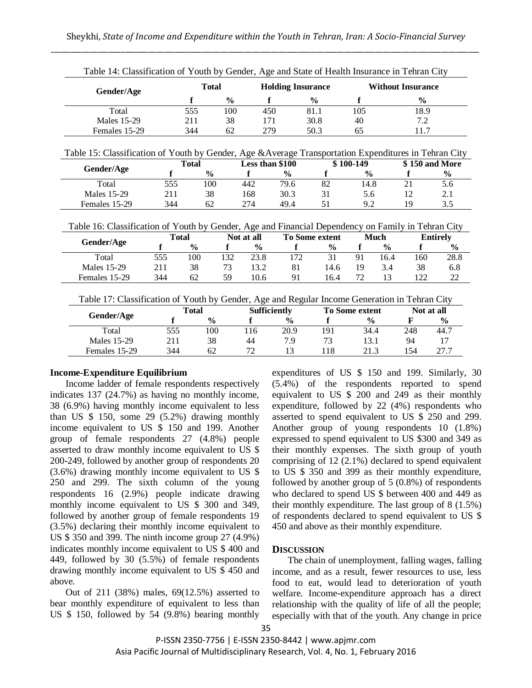| Gender/Age                                                                                            |              | <b>Total</b><br><b>Holding Insurance</b> |               |                     |               | <b>Without Insurance</b> |                       |               |               |                 |
|-------------------------------------------------------------------------------------------------------|--------------|------------------------------------------|---------------|---------------------|---------------|--------------------------|-----------------------|---------------|---------------|-----------------|
|                                                                                                       |              | f                                        | $\frac{0}{0}$ | $\mathbf f$         |               | $\frac{0}{0}$            | f                     |               | $\frac{0}{0}$ |                 |
| Total                                                                                                 |              | 555                                      | 100           | 450                 |               | 81.1                     | 105                   |               | 18.9          |                 |
| <b>Males</b> 15-29                                                                                    |              | 211                                      | 38            | 171                 |               | 30.8                     | 40                    |               | 7.2           |                 |
| Females 15-29                                                                                         |              | 344                                      | 62            | 279                 |               | 50.3                     | 65                    |               | 11.7          |                 |
| Table 15: Classification of Youth by Gender, Age & Average Transportation Expenditures in Tehran City |              |                                          |               |                     |               |                          |                       |               |               |                 |
|                                                                                                       |              | <b>Total</b>                             |               | Less than \$100     |               |                          | $$100-149$            |               |               | \$150 and More  |
| Gender/Age                                                                                            | f            | $\frac{6}{6}$                            |               | f                   | $\frac{6}{6}$ | f                        | $\frac{6}{9}$         |               | f             | $\frac{6}{6}$   |
| Total                                                                                                 | 555          | 100                                      |               | 442                 | 79.6          | 82                       | 14.8                  |               | 21            | 5.6             |
| <b>Males</b> 15-29                                                                                    | 211          | 38                                       |               | 168                 | 30.3          | 31                       | 5.6                   |               | 12            | 2.1             |
| Females 15-29                                                                                         | 344          | 62                                       |               | 274                 | 49.4          | 51                       | 9.2                   |               | 19            | 3.5             |
| Table 16: Classification of Youth by Gender, Age and Financial Dependency on Family in Tehran City    |              |                                          |               |                     |               |                          |                       |               |               |                 |
|                                                                                                       |              |                                          |               |                     |               |                          |                       |               |               |                 |
|                                                                                                       | <b>Total</b> |                                          |               | Not at all          |               | To Some extent           |                       | <b>Much</b>   |               | <b>Entirely</b> |
| Gender/Age                                                                                            | $\mathbf f$  | $\frac{0}{0}$                            | f             | $\frac{0}{0}$       | f             | $\frac{0}{0}$            | f                     | $\frac{0}{0}$ | f             | $\frac{0}{0}$   |
| Total                                                                                                 | 555          | 100                                      | 132           | 23.8                | 172           | 31                       | 91                    | 16.4          | 160           |                 |
| <b>Males</b> 15-29                                                                                    | 211          | 38                                       | 73            | 13.2                | 81            | 14.6                     | 19                    | 3.4           | 38            |                 |
| Females 15-29                                                                                         | 344          | 62                                       | 59            | 10.6                | 91            | 16.4                     | 72                    | 13            | 122           | 22              |
| Table 17: Classification of Youth by Gender, Age and Regular Income Generation in Tehran City         |              |                                          |               |                     |               |                          |                       |               |               |                 |
|                                                                                                       |              | <b>Total</b>                             |               | <b>Sufficiently</b> |               |                          | <b>To Some extent</b> |               | Not at all    | 28.8<br>6.8     |
| Gender/Age                                                                                            | f            | $\frac{0}{0}$                            |               | f                   | $\frac{6}{9}$ | f                        | $\frac{0}{0}$         |               | F             | $\frac{0}{0}$   |
| Total                                                                                                 | 555          | 100                                      |               | 116                 | 20.9          | 191                      | 34.4                  |               | 248           | 44.7            |
| Males 15-29                                                                                           | 211          | 38                                       |               | 44                  | 7.9           | 73                       | 13.1                  |               | 94            | 17              |

Table 14: Classification of Youth by Gender, Age and State of Health Insurance in Tehran City

### **Income-Expenditure Equilibrium**

Income ladder of female respondents respectively indicates 137 (24.7%) as having no monthly income, 38 (6.9%) having monthly income equivalent to less than US  $$ 150$ , some 29 (5.2%) drawing monthly income equivalent to US \$ 150 and 199. Another group of female respondents 27 (4.8%) people asserted to draw monthly income equivalent to US \$ 200-249, followed by another group of respondents 20 (3.6%) drawing monthly income equivalent to US \$ 250 and 299. The sixth column of the young respondents 16 (2.9%) people indicate drawing monthly income equivalent to US \$ 300 and 349, followed by another group of female respondents 19 (3.5%) declaring their monthly income equivalent to US \$ 350 and 399. The ninth income group 27 (4.9%) indicates monthly income equivalent to US \$ 400 and 449, followed by 30 (5.5%) of female respondents drawing monthly income equivalent to US \$ 450 and above.

Out of 211 (38%) males, 69(12.5%) asserted to bear monthly expenditure of equivalent to less than US \$ 150, followed by 54 (9.8%) bearing monthly expenditures of US \$ 150 and 199. Similarly, 30 (5.4%) of the respondents reported to spend equivalent to US \$ 200 and 249 as their monthly expenditure, followed by 22 (4%) respondents who asserted to spend equivalent to US \$ 250 and 299. Another group of young respondents 10 (1.8%) expressed to spend equivalent to US \$300 and 349 as their monthly expenses. The sixth group of youth comprising of  $12(2.1\%)$  declared to spend equivalent to US \$ 350 and 399 as their monthly expenditure, followed by another group of 5 (0.8%) of respondents who declared to spend US \$ between 400 and 449 as their monthly expenditure. The last group of 8 (1.5%) of respondents declared to spend equivalent to US \$ 450 and above as their monthly expenditure.

#### **DISCUSSION**

The chain of unemployment, falling wages, falling income, and as a result, fewer resources to use, less food to eat, would lead to deterioration of youth welfare. Income-expenditure approach has a direct relationship with the quality of life of all the people; especially with that of the youth. Any change in price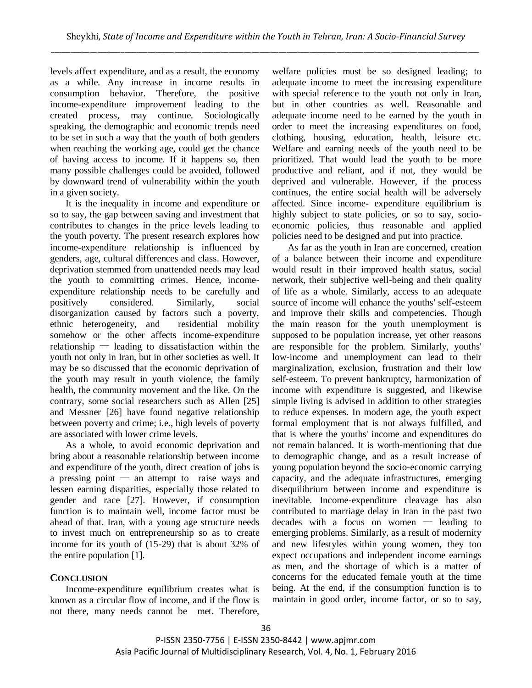levels affect expenditure, and as a result, the economy as a while. Any increase in income results in consumption behavior. Therefore, the positive income-expenditure improvement leading to the created process, may continue. Sociologically speaking, the demographic and economic trends need to be set in such a way that the youth of both genders when reaching the working age, could get the chance of having access to income. If it happens so, then many possible challenges could be avoided, followed by downward trend of vulnerability within the youth in a given society.

It is the inequality in income and expenditure or so to say, the gap between saving and investment that contributes to changes in the price levels leading to the youth poverty. The present research explores how income-expenditure relationship is influenced by genders, age, cultural differences and class. However, deprivation stemmed from unattended needs may lead the youth to committing crimes. Hence, incomeexpenditure relationship needs to be carefully and positively considered. Similarly, social disorganization caused by factors such a poverty, ethnic heterogeneity, and residential mobility somehow or the other affects income-expenditure relationship  $-$  leading to dissatisfaction within the youth not only in Iran, but in other societies as well. It may be so discussed that the economic deprivation of the youth may result in youth violence, the family health, the community movement and the like. On the contrary, some social researchers such as Allen [25] and Messner [26] have found negative relationship between poverty and crime; i.e., high levels of poverty are associated with lower crime levels.

As a whole, to avoid economic deprivation and bring about a reasonable relationship between income and expenditure of the youth, direct creation of jobs is a pressing point  $\equiv$  an attempt to raise ways and lessen earning disparities, especially those related to gender and race [27]. However, if consumption function is to maintain well, income factor must be ahead of that. Iran, with a young age structure needs to invest much on entrepreneurship so as to create income for its youth of (15-29) that is about 32% of the entire population [1].

## **CONCLUSION**

Income-expenditure equilibrium creates what is known as a circular flow of income, and if the flow is not there, many needs cannot be met. Therefore,

welfare policies must be so designed leading; to adequate income to meet the increasing expenditure with special reference to the youth not only in Iran, but in other countries as well. Reasonable and adequate income need to be earned by the youth in order to meet the increasing expenditures on food, clothing, housing, education, health, leisure etc. Welfare and earning needs of the youth need to be prioritized. That would lead the youth to be more productive and reliant, and if not, they would be deprived and vulnerable. However, if the process continues, the entire social health will be adversely affected. Since income- expenditure equilibrium is highly subject to state policies, or so to say, socioeconomic policies, thus reasonable and applied policies need to be designed and put into practice.

As far as the youth in Iran are concerned, creation of a balance between their income and expenditure would result in their improved health status, social network, their subjective well-being and their quality of life as a whole. Similarly, access to an adequate source of income will enhance the youths' self-esteem and improve their skills and competencies. Though the main reason for the youth unemployment is supposed to be population increase, yet other reasons are responsible for the problem. Similarly, youths' low-income and unemployment can lead to their marginalization, exclusion, frustration and their low self-esteem. To prevent bankruptcy, harmonization of income with expenditure is suggested, and likewise simple living is advised in addition to other strategies to reduce expenses. In modern age, the youth expect formal employment that is not always fulfilled, and that is where the youths' income and expenditures do not remain balanced. It is worth-mentioning that due to demographic change, and as a result increase of young population beyond the socio-economic carrying capacity, and the adequate infrastructures, emerging disequilibrium between income and expenditure is inevitable. Income-expenditure cleavage has also contributed to marriage delay in Iran in the past two decades with a focus on women  $-$  leading to emerging problems. Similarly, as a result of modernity and new lifestyles within young women, they too expect occupations and independent income earnings as men, and the shortage of which is a matter of concerns for the educated female youth at the time being. At the end, if the consumption function is to maintain in good order, income factor, or so to say,